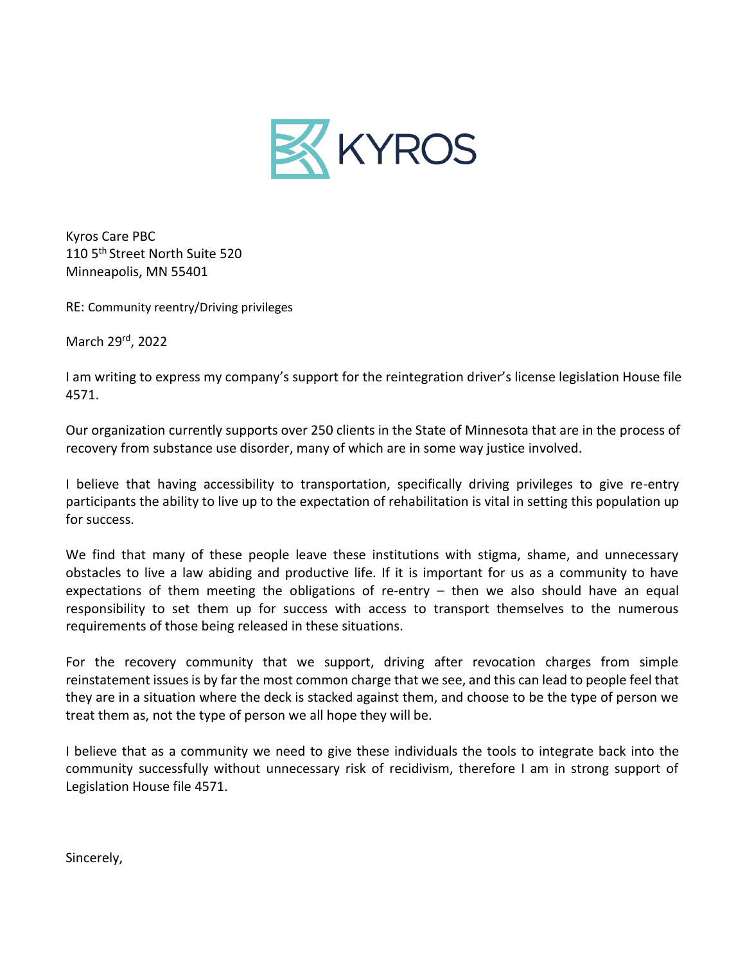

Kyros Care PBC 110 5<sup>th</sup> Street North Suite 520 Minneapolis, MN 55401

RE: Community reentry/Driving privileges

March 29rd, 2022

I am writing to express my company's support for the reintegration driver's license legislation House file 4571.

Our organization currently supports over 250 clients in the State of Minnesota that are in the process of recovery from substance use disorder, many of which are in some way justice involved.

I believe that having accessibility to transportation, specifically driving privileges to give re-entry participants the ability to live up to the expectation of rehabilitation is vital in setting this population up for success.

We find that many of these people leave these institutions with stigma, shame, and unnecessary obstacles to live a law abiding and productive life. If it is important for us as a community to have expectations of them meeting the obligations of re-entry  $-$  then we also should have an equal responsibility to set them up for success with access to transport themselves to the numerous requirements of those being released in these situations.

For the recovery community that we support, driving after revocation charges from simple reinstatement issuesis by far the most common charge that we see, and this can lead to people feel that they are in a situation where the deck is stacked against them, and choose to be the type of person we treat them as, not the type of person we all hope they will be.

I believe that as a community we need to give these individuals the tools to integrate back into the community successfully without unnecessary risk of recidivism, therefore I am in strong support of Legislation House file 4571.

Sincerely,